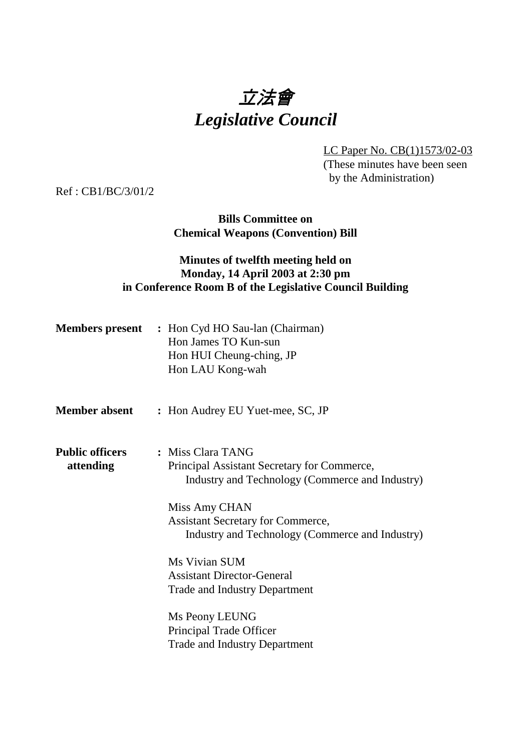# 立法會 *Legislative Council*

LC Paper No. CB(1)1573/02-03 (These minutes have been seen by the Administration)

Ref : CB1/BC/3/01/2

**Bills Committee on Chemical Weapons (Convention) Bill**

### **Minutes of twelfth meeting held on Monday, 14 April 2003 at 2:30 pm in Conference Room B of the Legislative Council Building**

|                                     | <b>Members present</b> : Hon Cyd HO Sau-lan (Chairman)<br>Hon James TO Kun-sun<br>Hon HUI Cheung-ching, JP<br>Hon LAU Kong-wah |
|-------------------------------------|--------------------------------------------------------------------------------------------------------------------------------|
| <b>Member absent</b>                | : Hon Audrey EU Yuet-mee, SC, JP                                                                                               |
| <b>Public officers</b><br>attending | : Miss Clara TANG<br>Principal Assistant Secretary for Commerce,<br>Industry and Technology (Commerce and Industry)            |
|                                     | Miss Amy CHAN<br><b>Assistant Secretary for Commerce,</b><br>Industry and Technology (Commerce and Industry)                   |
|                                     | Ms Vivian SUM<br><b>Assistant Director-General</b><br><b>Trade and Industry Department</b>                                     |
|                                     | Ms Peony LEUNG<br>Principal Trade Officer<br><b>Trade and Industry Department</b>                                              |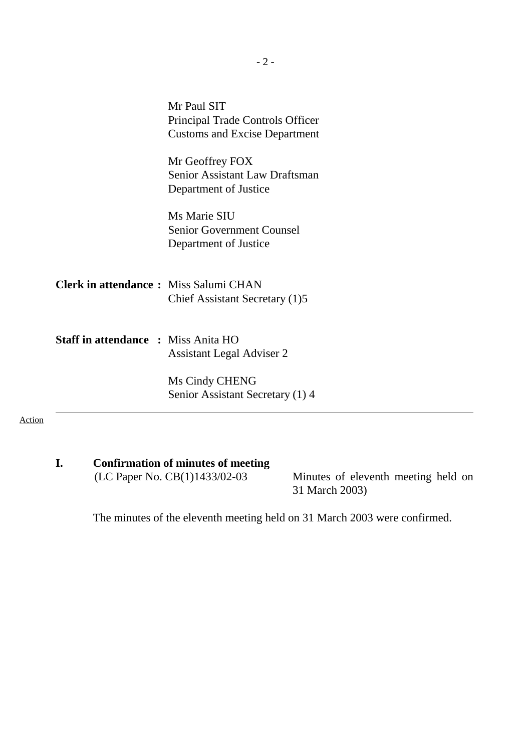|                                              | Mr Paul SIT<br>Principal Trade Controls Officer<br><b>Customs and Excise Department</b> |
|----------------------------------------------|-----------------------------------------------------------------------------------------|
|                                              | Mr Geoffrey FOX<br>Senior Assistant Law Draftsman<br>Department of Justice              |
|                                              | Ms Marie SIU<br><b>Senior Government Counsel</b><br>Department of Justice               |
| <b>Clerk in attendance:</b> Miss Salumi CHAN | Chief Assistant Secretary (1)5                                                          |
| <b>Staff in attendance : Miss Anita HO</b>   | <b>Assistant Legal Adviser 2</b>                                                        |
|                                              | Ms Cindy CHENG<br>Senior Assistant Secretary (1) 4                                      |

# **I.** Confirmation of minutes of meeting<br>(LC Paper No. CB(1)1433/02-03

Minutes of eleventh meeting held on 31 March 2003)

The minutes of the eleventh meeting held on 31 March 2003 were confirmed.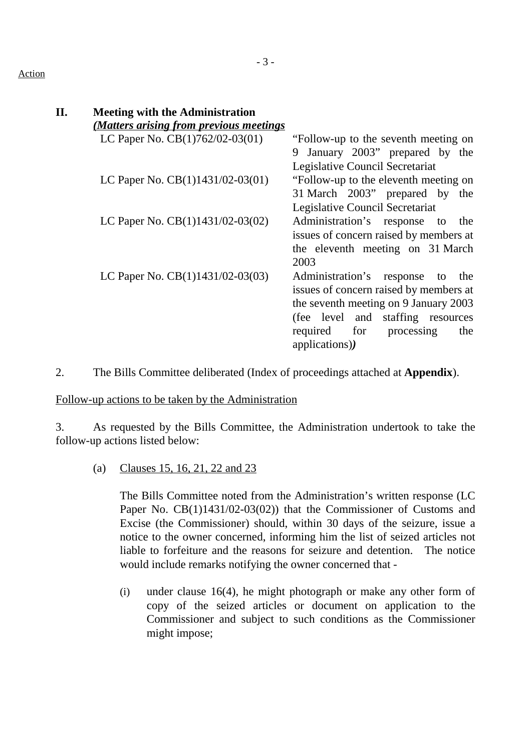#### Action

| Η. | <b>Meeting with the Administration</b>                                     |                                        |
|----|----------------------------------------------------------------------------|----------------------------------------|
|    | (Matters arising from previous meetings)                                   |                                        |
|    | LC Paper No. $CB(1)762/02-03(01)$ — "Follow-up to the seventh meeting on   |                                        |
|    |                                                                            | January 2003" prepared by the<br>9     |
|    |                                                                            | Legislative Council Secretariat        |
|    | LC Paper No. $CB(1)1431/02-03(01)$ — "Follow-up to the eleventh meeting on |                                        |
|    |                                                                            | 31 March 2003" prepared by the         |
|    |                                                                            | Legislative Council Secretariat        |
|    | LC Paper No. $CB(1)1431/02-03(02)$ —                                       | Administration's response to the       |
|    |                                                                            | issues of concern raised by members at |
|    |                                                                            | the eleventh meeting on 31 March       |
|    |                                                                            | 2003                                   |
|    | LC Paper No. $CB(1)1431/02-03(03)$ - Administration's response to the      |                                        |
|    |                                                                            | issues of concern raised by members at |
|    |                                                                            | the seventh meeting on 9 January 2003  |
|    |                                                                            | (fee level and staffing resources      |
|    |                                                                            | required for processing<br>the         |
|    |                                                                            | applications))                         |
|    |                                                                            |                                        |

2. The Bills Committee deliberated (Index of proceedings attached at **Appendix**).

Follow-up actions to be taken by the Administration

3. As requested by the Bills Committee, the Administration undertook to take the follow-up actions listed below:

(a) Clauses 15, 16, 21, 22 and 23

The Bills Committee noted from the Administration's written response (LC Paper No. CB(1)1431/02-03(02)) that the Commissioner of Customs and Excise (the Commissioner) should, within 30 days of the seizure, issue a notice to the owner concerned, informing him the list of seized articles not liable to forfeiture and the reasons for seizure and detention. The notice would include remarks notifying the owner concerned that -

(i) under clause 16(4), he might photograph or make any other form of copy of the seized articles or document on application to the Commissioner and subject to such conditions as the Commissioner might impose;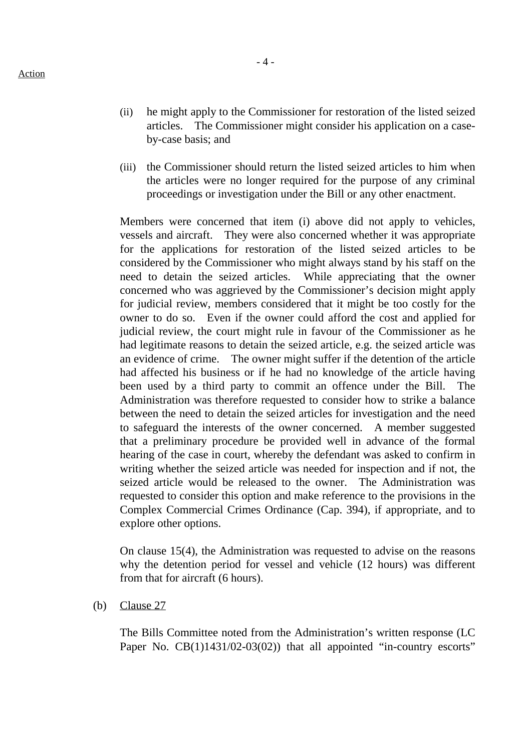- (ii) he might apply to the Commissioner for restoration of the listed seized articles. The Commissioner might consider his application on a case-
- (iii) the Commissioner should return the listed seized articles to him when the articles were no longer required for the purpose of any criminal proceedings or investigation under the Bill or any other enactment.

Members were concerned that item (i) above did not apply to vehicles, vessels and aircraft. They were also concerned whether it was appropriate for the applications for restoration of the listed seized articles to be considered by the Commissioner who might always stand by his staff on the need to detain the seized articles. While appreciating that the owner concerned who was aggrieved by the Commissioner's decision might apply for judicial review, members considered that it might be too costly for the owner to do so. Even if the owner could afford the cost and applied for judicial review, the court might rule in favour of the Commissioner as he had legitimate reasons to detain the seized article, e.g. the seized article was an evidence of crime. The owner might suffer if the detention of the article had affected his business or if he had no knowledge of the article having been used by a third party to commit an offence under the Bill. The Administration was therefore requested to consider how to strike a balance between the need to detain the seized articles for investigation and the need to safeguard the interests of the owner concerned. A member suggested that a preliminary procedure be provided well in advance of the formal hearing of the case in court, whereby the defendant was asked to confirm in writing whether the seized article was needed for inspection and if not, the seized article would be released to the owner. The Administration was requested to consider this option and make reference to the provisions in the Complex Commercial Crimes Ordinance (Cap. 394), if appropriate, and to explore other options.

On clause 15(4), the Administration was requested to advise on the reasons why the detention period for vessel and vehicle (12 hours) was different from that for aircraft (6 hours).

(b) Clause 27

The Bills Committee noted from the Administration's written response (LC Paper No. CB(1)1431/02-03(02)) that all appointed "in-country escorts"

by-case basis; and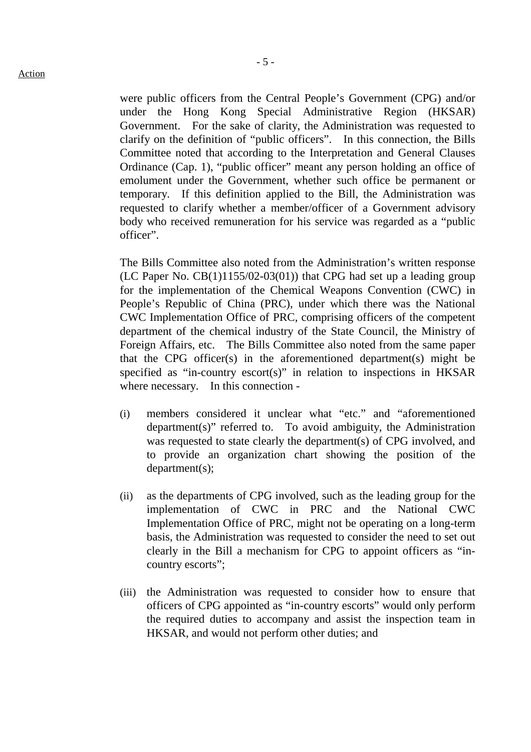- 5 -

were public officers from the Central People's Government (CPG) and/or under the Hong Kong Special Administrative Region (HKSAR) Government. For the sake of clarity, the Administration was requested to clarify on the definition of "public officers". In this connection, the Bills Committee noted that according to the Interpretation and General Clauses Ordinance (Cap. 1), "public officer" meant any person holding an office of emolument under the Government, whether such office be permanent or temporary. If this definition applied to the Bill, the Administration was requested to clarify whether a member/officer of a Government advisory body who received remuneration for his service was regarded as a "public officer".

The Bills Committee also noted from the Administration's written response (LC Paper No.  $CB(1)1155/02-03(01)$ ) that CPG had set up a leading group for the implementation of the Chemical Weapons Convention (CWC) in People's Republic of China (PRC), under which there was the National CWC Implementation Office of PRC, comprising officers of the competent department of the chemical industry of the State Council, the Ministry of Foreign Affairs, etc. The Bills Committee also noted from the same paper that the CPG officer(s) in the aforementioned department(s) might be specified as "in-country escort(s)" in relation to inspections in HKSAR where necessary. In this connection -

- (i) members considered it unclear what "etc." and "aforementioned department(s)" referred to. To avoid ambiguity, the Administration was requested to state clearly the department(s) of CPG involved, and to provide an organization chart showing the position of the department(s);
- (ii) as the departments of CPG involved, such as the leading group for the implementation of CWC in PRC and the National CWC Implementation Office of PRC, might not be operating on a long-term basis, the Administration was requested to consider the need to set out clearly in the Bill a mechanism for CPG to appoint officers as "incountry escorts";
- (iii) the Administration was requested to consider how to ensure that officers of CPG appointed as "in-country escorts" would only perform the required duties to accompany and assist the inspection team in HKSAR, and would not perform other duties; and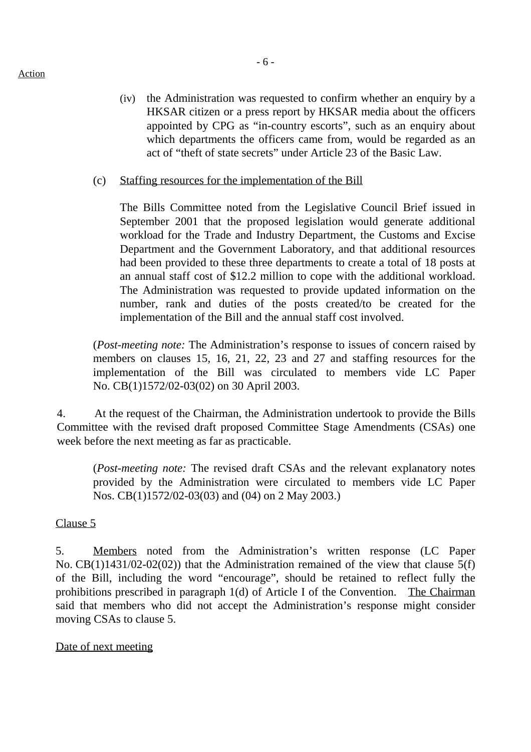#### Action

(iv) the Administration was requested to confirm whether an enquiry by a HKSAR citizen or a press report by HKSAR media about the officers appointed by CPG as "in-country escorts", such as an enquiry about which departments the officers came from, would be regarded as an act of "theft of state secrets" under Article 23 of the Basic Law.

#### (c) Staffing resources for the implementation of the Bill

The Bills Committee noted from the Legislative Council Brief issued in September 2001 that the proposed legislation would generate additional workload for the Trade and Industry Department, the Customs and Excise Department and the Government Laboratory, and that additional resources had been provided to these three departments to create a total of 18 posts at an annual staff cost of \$12.2 million to cope with the additional workload. The Administration was requested to provide updated information on the number, rank and duties of the posts created/to be created for the implementation of the Bill and the annual staff cost involved.

(*Post-meeting note:* The Administration's response to issues of concern raised by members on clauses 15, 16, 21, 22, 23 and 27 and staffing resources for the implementation of the Bill was circulated to members vide LC Paper No. CB(1)1572/02-03(02) on 30 April 2003.

4. At the request of the Chairman, the Administration undertook to provide the Bills Committee with the revised draft proposed Committee Stage Amendments (CSAs) one week before the next meeting as far as practicable.

(*Post-meeting note:* The revised draft CSAs and the relevant explanatory notes provided by the Administration were circulated to members vide LC Paper Nos. CB(1)1572/02-03(03) and (04) on 2 May 2003.)

#### Clause 5

5. Members noted from the Administration's written response (LC Paper No. CB(1)1431/02-02(02)) that the Administration remained of the view that clause 5(f) of the Bill, including the word "encourage", should be retained to reflect fully the prohibitions prescribed in paragraph 1(d) of Article I of the Convention. The Chairman said that members who did not accept the Administration's response might consider moving CSAs to clause 5.

#### Date of next meeting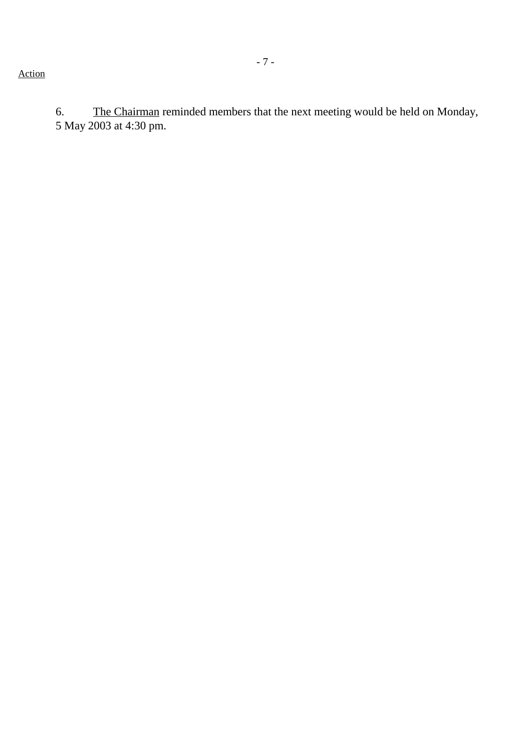6. The Chairman reminded members that the next meeting would be held on Monday, 5 May 2003 at 4:30 pm.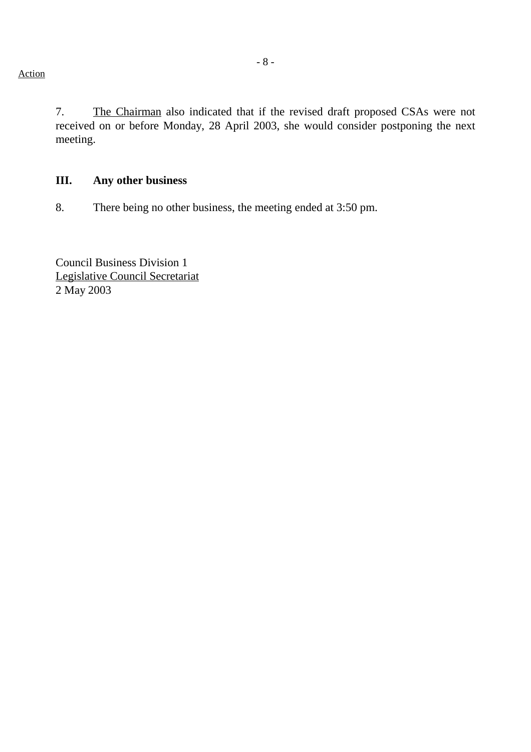Action

7. The Chairman also indicated that if the revised draft proposed CSAs were not received on or before Monday, 28 April 2003, she would consider postponing the next meeting.

#### **III. Any other business**

8. There being no other business, the meeting ended at 3:50 pm.

Council Business Division 1 Legislative Council Secretariat 2 May 2003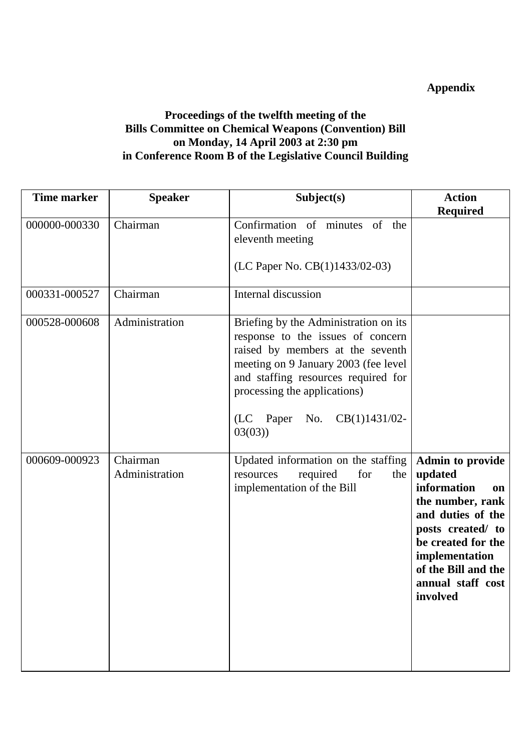# **Appendix**

## **Proceedings of the twelfth meeting of the Bills Committee on Chemical Weapons (Convention) Bill on Monday, 14 April 2003 at 2:30 pm in Conference Room B of the Legislative Council Building**

| <b>Time marker</b> | <b>Speaker</b>             | Subject(s)                                                                                                                                                                                                                                                                  | <b>Action</b>                                                                                                                                                                                                         |
|--------------------|----------------------------|-----------------------------------------------------------------------------------------------------------------------------------------------------------------------------------------------------------------------------------------------------------------------------|-----------------------------------------------------------------------------------------------------------------------------------------------------------------------------------------------------------------------|
|                    |                            |                                                                                                                                                                                                                                                                             | <b>Required</b>                                                                                                                                                                                                       |
| 000000-000330      | Chairman                   | Confirmation of minutes of the<br>eleventh meeting<br>(LC Paper No. CB(1)1433/02-03)                                                                                                                                                                                        |                                                                                                                                                                                                                       |
| 000331-000527      | Chairman                   | Internal discussion                                                                                                                                                                                                                                                         |                                                                                                                                                                                                                       |
| 000528-000608      | Administration             | Briefing by the Administration on its<br>response to the issues of concern<br>raised by members at the seventh<br>meeting on 9 January 2003 (fee level<br>and staffing resources required for<br>processing the applications)<br>(LC Paper No.<br>$CB(1)1431/02-$<br>03(03) |                                                                                                                                                                                                                       |
| 000609-000923      | Chairman<br>Administration | Updated information on the staffing<br>for<br>required<br>the<br>resources<br>implementation of the Bill                                                                                                                                                                    | <b>Admin to provide</b><br>updated<br>information<br>on<br>the number, rank<br>and duties of the<br>posts created/ to<br>be created for the<br>implementation<br>of the Bill and the<br>annual staff cost<br>involved |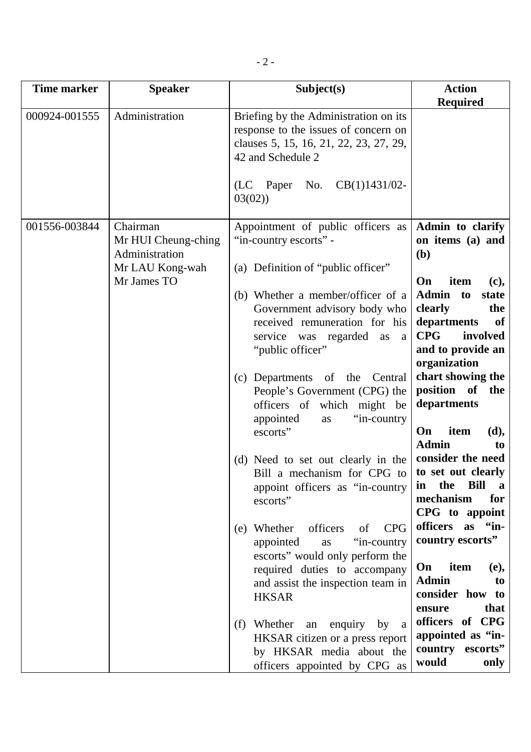| Time marker   | <b>Speaker</b>                                                                      | Subject(s)                                                                                                                                                                                                                                                                                                                                                                                                                                                                                                                                                                                                                                                                                                                                                                                                                                                                              | <b>Action</b><br><b>Required</b>                                                                                                                                                                                                                                                                                                                                                                                                                                                                                                                                                                                                            |
|---------------|-------------------------------------------------------------------------------------|-----------------------------------------------------------------------------------------------------------------------------------------------------------------------------------------------------------------------------------------------------------------------------------------------------------------------------------------------------------------------------------------------------------------------------------------------------------------------------------------------------------------------------------------------------------------------------------------------------------------------------------------------------------------------------------------------------------------------------------------------------------------------------------------------------------------------------------------------------------------------------------------|---------------------------------------------------------------------------------------------------------------------------------------------------------------------------------------------------------------------------------------------------------------------------------------------------------------------------------------------------------------------------------------------------------------------------------------------------------------------------------------------------------------------------------------------------------------------------------------------------------------------------------------------|
| 000924-001555 | Administration                                                                      | Briefing by the Administration on its<br>response to the issues of concern on<br>clauses 5, 15, 16, 21, 22, 23, 27, 29,<br>42 and Schedule 2<br>(LC Paper No. $CB(1)1431/02$ -<br>03(02)                                                                                                                                                                                                                                                                                                                                                                                                                                                                                                                                                                                                                                                                                                |                                                                                                                                                                                                                                                                                                                                                                                                                                                                                                                                                                                                                                             |
| 001556-003844 | Chairman<br>Mr HUI Cheung-ching<br>Administration<br>Mr LAU Kong-wah<br>Mr James TO | Appointment of public officers as<br>"in-country escorts" -<br>(a) Definition of "public officer"<br>(b) Whether a member/officer of a<br>Government advisory body who<br>received remuneration for his<br>service was regarded<br>as<br>a<br>"public officer"<br>(c) Departments of the Central<br>People's Government (CPG) the<br>officers of which might be<br>"in-country<br>appointed<br><b>as</b><br>escorts"<br>(d) Need to set out clearly in the<br>Bill a mechanism for CPG to<br>appoint officers as "in-country"<br>escorts"<br><b>CPG</b><br>(e) Whether<br>officers<br>of<br>appointed<br>"in-country"<br>as<br>escorts" would only perform the<br>required duties to accompany<br>and assist the inspection team in<br><b>HKSAR</b><br>(f) Whether<br>an enquiry<br>by a<br>HKSAR citizen or a press report<br>by HKSAR media about the<br>officers appointed by CPG as | Admin to clarify<br>on items (a) and<br>(b)<br>On<br>item<br>(c),<br><b>Admin</b><br>to<br>state<br>clearly<br>the<br>departments<br><b>of</b><br><b>CPG</b><br>involved<br>and to provide an<br>organization<br>chart showing the<br>position of<br>the<br>departments<br>item<br>On<br>(d),<br><b>Admin</b><br>to<br>consider the need<br>to set out clearly<br><b>Bill</b><br>in<br>the<br>a<br>mechanism<br>for<br>CPG to appoint<br>officers as "in-<br>country escorts"<br>On<br>item<br>(e),<br><b>Admin</b><br>to<br>consider how to<br>that<br>ensure<br>officers of CPG<br>appointed as "in-<br>country escorts"<br>would<br>only |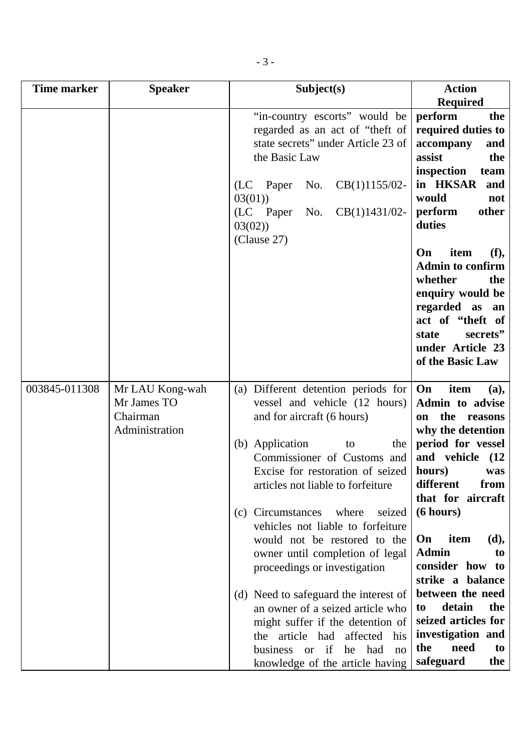| Time marker   | <b>Speaker</b>                                               | Subject(s)                                                                                                                                                                                                                                                                                                                                                                                                                                                                                                                                                                                                                                          | <b>Action</b>                                                                                                                                                                                                                                                                                                                                                                                                          |
|---------------|--------------------------------------------------------------|-----------------------------------------------------------------------------------------------------------------------------------------------------------------------------------------------------------------------------------------------------------------------------------------------------------------------------------------------------------------------------------------------------------------------------------------------------------------------------------------------------------------------------------------------------------------------------------------------------------------------------------------------------|------------------------------------------------------------------------------------------------------------------------------------------------------------------------------------------------------------------------------------------------------------------------------------------------------------------------------------------------------------------------------------------------------------------------|
|               |                                                              | "in-country escorts" would be<br>regarded as an act of "theft of<br>state secrets" under Article 23 of<br>the Basic Law<br>$CB(1)1155/02-$<br>(LC)<br>Paper<br>No.<br>03(01)<br>CB(1)1431/02-<br>(LC Paper<br>No.<br>03(02)<br>(Clause 27)                                                                                                                                                                                                                                                                                                                                                                                                          | <b>Required</b><br>perform<br>the<br>required duties to<br>accompany<br>and<br>assist<br>the<br>inspection<br>team<br>in HKSAR and<br>would<br>not<br>perform<br>other<br>duties<br>item<br>(f),<br>On<br><b>Admin to confirm</b><br>whether<br>the<br>enquiry would be<br>regarded as an<br>act of "theft of<br>secrets"<br>state<br>under Article 23<br>of the Basic Law                                             |
| 003845-011308 | Mr LAU Kong-wah<br>Mr James TO<br>Chairman<br>Administration | (a) Different detention periods for<br>vessel and vehicle (12 hours)<br>and for aircraft (6 hours)<br>(b) Application<br>the<br>to<br>Commissioner of Customs and<br>Excise for restoration of seized<br>articles not liable to forfeiture<br>seized<br>(c) Circumstances<br>where<br>vehicles not liable to forfeiture<br>would not be restored to the<br>owner until completion of legal<br>proceedings or investigation<br>(d) Need to safeguard the interest of<br>an owner of a seized article who<br>might suffer if the detention of<br>the article had<br>affected his<br>business or if<br>he had<br>no<br>knowledge of the article having | On<br>item<br>(a),<br>Admin to advise<br>the reasons<br>on<br>why the detention<br>period for vessel<br>and vehicle<br>(12)<br>hours)<br>was<br>different<br>from<br>that for aircraft<br>(6 hours)<br>item<br>(d),<br>On<br><b>Admin</b><br>to<br>consider how to<br>strike a balance<br>between the need<br>detain<br>the<br>to<br>seized articles for<br>investigation and<br>the<br>need<br>to<br>safeguard<br>the |